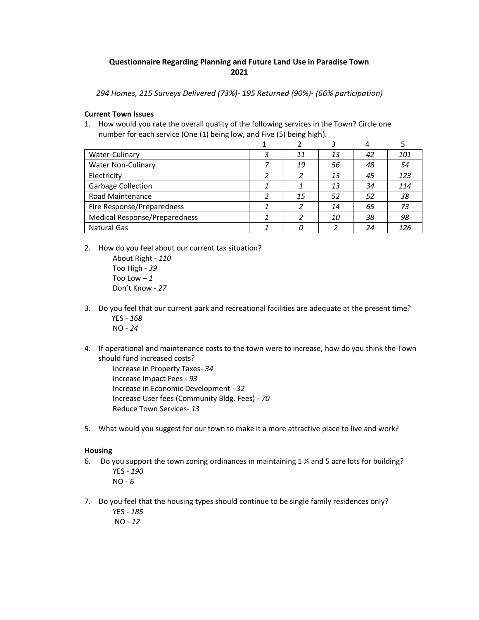# **Questionnaire Regarding Planning and Future Land Use in Paradise Town 2021**

*294 Homes, 215 Surveys Delivered (73%)- 195 Returned (90%)- (66% participation)*

#### **Current Town Issues**

1. How would you rate the overall quality of the following services in the Town? Circle one number for each service (One (1) being low, and Five (5) being high).

|                                      |   |    |    | 4  |     |
|--------------------------------------|---|----|----|----|-----|
| Water-Culinary                       | 3 | 11 | 13 | 42 | 101 |
| <b>Water Non-Culinary</b>            |   | 19 | 56 | 48 | 54  |
| Electricity                          |   | 2  | 13 | 45 | 123 |
| <b>Garbage Collection</b>            |   |    | 13 | 34 | 114 |
| Road Maintenance                     | 2 | 15 | 52 | 52 | 38  |
| Fire Response/Preparedness           |   |    | 14 | 65 | 73  |
| <b>Medical Response/Preparedness</b> |   |    | 10 | 38 | 98  |
| <b>Natural Gas</b>                   |   |    |    | 24 | 126 |

2. How do you feel about our current tax situation?

About Right - *110* Too High - *39* Too Low  $-1$ Don't Know - *27*

- 3. Do you feel that our current park and recreational facilities are adequate at the present time? YES - *168* NO - *24*
- 4. If operational and maintenance costs to the town were to increase, how do you think the Town should fund increased costs?

Increase in Property Taxes- *34* Increase Impact Fees - *93* Increase in Economic Development - *32* Increase User fees (Community Bldg. Fees) - *70* Reduce Town Services- *13*

5. What would you suggest for our town to make it a more attractive place to live and work?

### **Housing**

- 6. Do you support the town zoning ordinances in maintaining 1 ¼ and 5 acre lots for building? YES - *190*  NO - *6*
- 7. Do you feel that the housing types should continue to be single family residences only? YES - *185*  NO *- 12*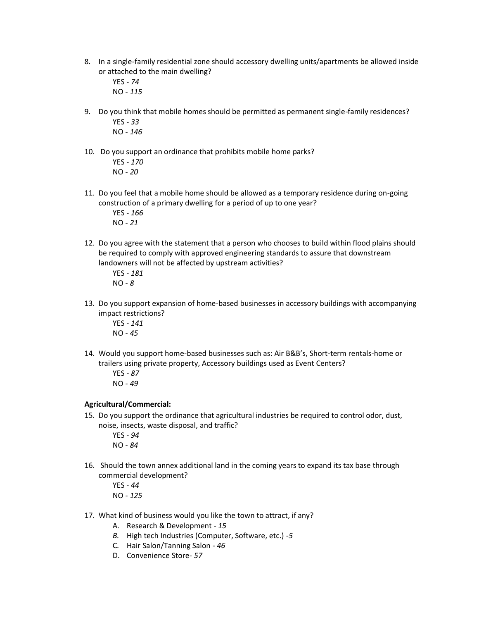8. In a single-family residential zone should accessory dwelling units/apartments be allowed inside or attached to the main dwelling?

YES - *74* NO - *115*

- 9. Do you think that mobile homes should be permitted as permanent single-family residences? YES - *33*  NO - *146*
- 10. Do you support an ordinance that prohibits mobile home parks? YES - *170* NO - *20*
- 11. Do you feel that a mobile home should be allowed as a temporary residence during on-going construction of a primary dwelling for a period of up to one year?

YES - *166*  NO - *21*

12. Do you agree with the statement that a person who chooses to build within flood plains should be required to comply with approved engineering standards to assure that downstream landowners will not be affected by upstream activities?

YES - *181*  NO - *8*

13. Do you support expansion of home-based businesses in accessory buildings with accompanying impact restrictions?

YES - *141*  NO - *45* 

- 14. Would you support home-based businesses such as: Air B&B's, Short-term rentals-home or trailers using private property, Accessory buildings used as Event Centers?
	- YES *- 87* NO - *49*

## **Agricultural/Commercial:**

15. Do you support the ordinance that agricultural industries be required to control odor, dust, noise, insects, waste disposal, and traffic?

YES - *94*  NO - *84*

16. Should the town annex additional land in the coming years to expand its tax base through commercial development?

YES - *44*  NO - *125*

- 17. What kind of business would you like the town to attract, if any?
	- A. Research & Development *15*
	- *B.* High tech Industries (Computer, Software, etc.) -*5*
	- C. Hair Salon/Tanning Salon *46*
	- D. Convenience Store- *57*